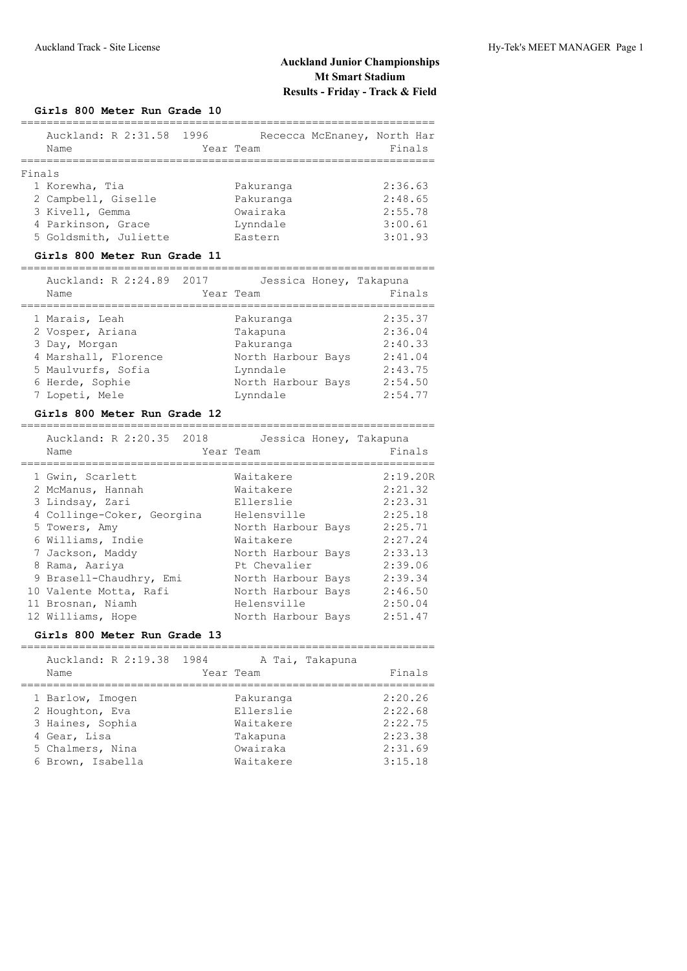## Auckland Track - Site License Hy-Tek's MEET MANAGER Page 1

## **Auckland Junior Championships Mt Smart Stadium Results - Friday - Track & Field**

#### **Girls 800 Meter Run Grade 10**

|        | Auckland: R 2:31.58 1996<br>Name | Year Team | Rececca McEnaney, North Har<br>Finals |
|--------|----------------------------------|-----------|---------------------------------------|
| Finals |                                  |           |                                       |
|        | 1 Korewha, Tia                   | Pakuranga | 2:36.63                               |
|        | 2 Campbell, Giselle              | Pakuranga | 2:48.65                               |
|        | 3 Kivell, Gemma                  | Owairaka  | 2:55.78                               |
|        | 4 Parkinson, Grace               | Lynndale  | 3:00.61                               |
|        | 5 Goldsmith, Juliette            | Eastern   | 3:01.93                               |
|        |                                  |           |                                       |

#### **Girls 800 Meter Run Grade 11**

#### ================================================================

| Auckland: R 2:24.89 2017 | Jessica Honey, Takapuna |         |
|--------------------------|-------------------------|---------|
| Name                     | Year Team               | Finals  |
|                          |                         |         |
| 1 Marais, Leah           | Pakuranga               | 2:35.37 |
| 2 Vosper, Ariana         | Takapuna                | 2:36.04 |
| 3 Day, Morgan            | Pakuranga               | 2:40.33 |
| 4 Marshall, Florence     | North Harbour Bays      | 2:41.04 |
| 5 Maulvurfs, Sofia       | Lynndale                | 2:43.75 |
| 6 Herde, Sophie          | North Harbour Bays      | 2:54.50 |
| 7 Lopeti, Mele           | Lynndale                | 2:54.77 |

#### **Girls 800 Meter Run Grade 12**

| Auckland: R 2:20.35 2018<br>Name | Jessica Honey, Takapuna<br>Year Team | Finals   |
|----------------------------------|--------------------------------------|----------|
| 1 Gwin, Scarlett                 | Waitakere                            | 2:19.20R |
| 2 McManus, Hannah                | Waitakere                            | 2:21.32  |
| 3 Lindsay, Zari                  | Ellerslie                            | 2:23.31  |
| 4 Collinge-Coker, Georgina       | Helensville                          | 2:25.18  |
| 5 Towers, Amy                    | North Harbour Bays                   | 2:25.71  |
| 6 Williams, Indie                | Waitakere                            | 2:27.24  |
| 7 Jackson, Maddy                 | North Harbour Bays                   | 2:33.13  |
| 8 Rama, Aariya                   | Pt Chevalier                         | 2:39.06  |
| 9 Brasell-Chaudhry, Emi          | North Harbour Bays                   | 2:39.34  |
| 10 Valente Motta, Rafi           | North Harbour Bays                   | 2:46.50  |
| 11 Brosnan, Niamh                | Helensville                          | 2:50.04  |
| 12 Williams, Hope                | North Harbour Bays                   | 2:51.47  |

#### **Girls 800 Meter Run Grade 13**

| Auckland: R 2:19.38 1984<br>Name                        | A Tai, Takapuna<br>Year Team        | Finals                        |
|---------------------------------------------------------|-------------------------------------|-------------------------------|
| 1 Barlow, Imogen<br>2 Houghton, Eva<br>3 Haines, Sophia | Pakuranga<br>Ellerslie<br>Waitakere | 2:20.26<br>2:22.68<br>2:22.75 |
| 4 Gear, Lisa                                            | Takapuna                            | 2:23.38                       |
| 5 Chalmers, Nina                                        | Owairaka                            | 2:31.69                       |
| 6 Brown, Isabella                                       | Waitakere                           | 3:15.18                       |
|                                                         |                                     |                               |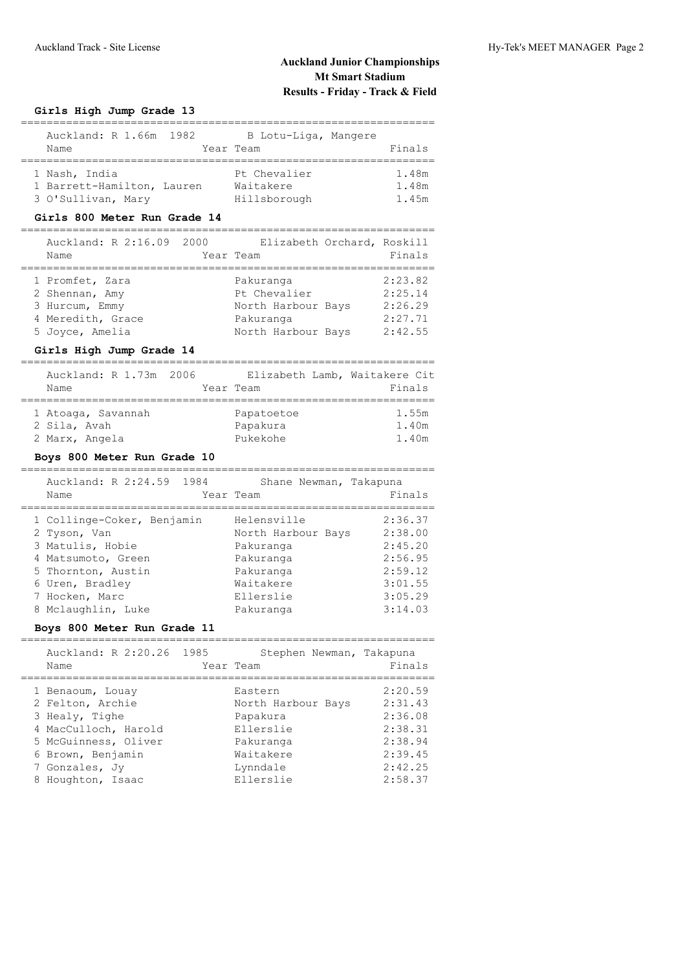# **Auckland Junior Championships Mt Smart Stadium Results - Friday - Track & Field**

### **Girls High Jump Grade 13**

| Auckland: R 1.66m 1982     | B Lotu-Liga, Mangere |        |
|----------------------------|----------------------|--------|
| Name                       | Year Team            | Finals |
|                            |                      |        |
| 1 Nash, India              | Pt Chevalier         | 1.48m  |
| 1 Barrett-Hamilton, Lauren | Waitakere            | 1.48m  |
| 3 O'Sullivan, Mary         | Hillsborough         | 1.45m  |

### **Girls 800 Meter Run Grade 14**

| Auckland: R 2:16.09 2000<br>Name                    | Elizabeth Orchard, Roskill<br>Year Team         | Finals                        |
|-----------------------------------------------------|-------------------------------------------------|-------------------------------|
| 1 Promfet, Zara<br>2 Shennan, Amy<br>3 Hurcum, Emmy | Pakuranga<br>Pt Chevalier<br>North Harbour Bays | 2:23.82<br>2:25.14<br>2:26.29 |
| 4 Meredith, Grace<br>5 Joyce, Amelia                | Pakuranga<br>North Harbour Bays                 | 2:27.71<br>2:42.55            |

## **Girls High Jump Grade 14**

| Auckland: R 1.73m 2006 | Elizabeth Lamb, Waitakere Cit |        |
|------------------------|-------------------------------|--------|
| Name                   | Year Team                     | Finals |
|                        |                               |        |
| 1 Atoaga, Savannah     | Papatoetoe                    | 1.55m  |
| 2 Sila, Avah           | Papakura                      | 1.40m  |
| 2 Marx, Angela         | Pukekohe                      | 1.40m  |

#### **Boys 800 Meter Run Grade 10**

| Auckland: R 2:24.59 1984<br>Name | Shane Newman, Takapuna<br>Year Team | Finals  |
|----------------------------------|-------------------------------------|---------|
| 1 Collinge-Coker, Benjamin       | Helensville                         | 2:36.37 |
| 2 Tyson, Van                     | North Harbour Bays                  | 2:38.00 |
| 3 Matulis, Hobie                 | Pakuranga                           | 2:45.20 |
| 4 Matsumoto, Green               | Pakuranga                           | 2:56.95 |
| 5 Thornton, Austin               | Pakuranga                           | 2:59.12 |
| 6 Uren, Bradley                  | Waitakere                           | 3:01.55 |
| 7 Hocken, Marc                   | Ellerslie                           | 3:05.29 |
| 8 Mclaughlin, Luke               | Pakuranga                           | 3:14.03 |

### **Boys 800 Meter Run Grade 11**

| Auckland: R 2:20.26 1985<br>Name | Stephen Newman, Takapuna<br>Year Team | Finals  |
|----------------------------------|---------------------------------------|---------|
| 1 Benaoum, Louay                 | Eastern                               | 2:20.59 |
| 2 Felton, Archie                 | North Harbour Bays                    | 2:31.43 |
| 3 Healy, Tighe                   | Papakura                              | 2:36.08 |
| 4 MacCulloch, Harold             | Ellerslie                             | 2:38.31 |
| 5 McGuinness, Oliver             | Pakuranga                             | 2:38.94 |
| 6 Brown, Benjamin                | Waitakere                             | 2:39.45 |
| 7 Gonzales, Jy                   | Lynndale                              | 2:42.25 |
| 8 Houghton, Isaac                | Ellerslie                             | 2:58.37 |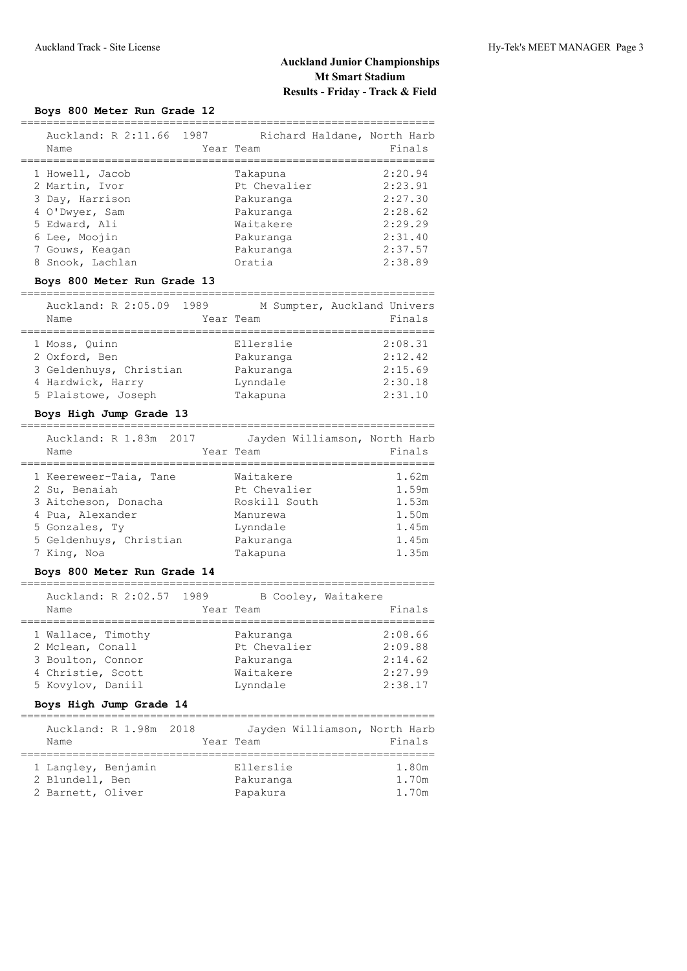# **Auckland Junior Championships Mt Smart Stadium Results - Friday - Track & Field**

### **Boys 800 Meter Run Grade 12**

| Auckland: R 2:11.66 1987<br>Name                                                                                                                | Richard Haldane, North Harb<br>Year Team                                                            | Finals                                                                               |
|-------------------------------------------------------------------------------------------------------------------------------------------------|-----------------------------------------------------------------------------------------------------|--------------------------------------------------------------------------------------|
| 1 Howell, Jacob<br>2 Martin, Ivor<br>3 Day, Harrison<br>4 O'Dwyer, Sam<br>5 Edward, Ali<br>6 Lee, Moojin<br>7 Gouws, Keagan<br>8 Snook, Lachlan | Takapuna<br>Pt Chevalier<br>Pakuranga<br>Pakuranga<br>Waitakere<br>Pakuranga<br>Pakuranga<br>Oratia | 2:20.94<br>2:23.91<br>2:27.30<br>2:28.62<br>2:29.29<br>2:31.40<br>2:37.57<br>2:38.89 |
|                                                                                                                                                 |                                                                                                     |                                                                                      |

#### **Boys 800 Meter Run Grade 13**

| Auckland: R 2:05.09 1989<br>Name                                                                      | Year Team |                                                             | M Sumpter, Auckland Univers<br>Finals               |
|-------------------------------------------------------------------------------------------------------|-----------|-------------------------------------------------------------|-----------------------------------------------------|
| 1 Moss, Ouinn<br>2 Oxford, Ben<br>3 Geldenhuys, Christian<br>4 Hardwick, Harry<br>5 Plaistowe, Joseph |           | Ellerslie<br>Pakuranga<br>Pakuranga<br>Lynndale<br>Takapuna | 2:08.31<br>2:12.42<br>2:15.69<br>2:30.18<br>2:31.10 |

#### **Boys High Jump Grade 13**

| Auckland: R 1.83m 2017<br>Name | Year Team | Jayden Williamson, North Harb | Finals |
|--------------------------------|-----------|-------------------------------|--------|
| 1 Keereweer-Taia, Tane         |           | Waitakere                     | 1.62m  |
| 2 Su, Benaiah                  |           | Pt Chevalier                  | 1.59m  |
| 3 Aitcheson, Donacha           |           | Roskill South                 | 1.53m  |
| 4 Pua, Alexander               |           | Manurewa                      | 1.50m  |
| 5 Gonzales, Ty                 |           | Lynndale                      | 1.45m  |
| 5 Geldenhuys, Christian        |           | Pakuranga                     | 1.45m  |
| 7 King, Noa                    |           | Takapuna                      | 1.35m  |

### **Boys 800 Meter Run Grade 14**

| Auckland: R 2:02.57 1989<br>Name                                                                      | Year Team                                                       | B Cooley, Waitakere<br>Finals                       |
|-------------------------------------------------------------------------------------------------------|-----------------------------------------------------------------|-----------------------------------------------------|
|                                                                                                       |                                                                 |                                                     |
| 1 Wallace, Timothy<br>2 Mclean, Conall<br>3 Boulton, Connor<br>4 Christie, Scott<br>5 Kovylov, Daniil | Pakuranga<br>Pt Chevalier<br>Pakuranga<br>Waitakere<br>Lynndale | 2:08.66<br>2:09.88<br>2:14.62<br>2:27.99<br>2:38.17 |

## **Boys High Jump Grade 14**

| Auckland: R 1.98m 2018<br>Name | Jayden Williamson, North Harb<br>Year Team | Finals |
|--------------------------------|--------------------------------------------|--------|
|                                |                                            |        |
| 1 Langley, Benjamin            | Ellerslie                                  | 1.80m  |
| 2 Blundell, Ben                | Pakuranga                                  | 1.70m  |
| 2 Barnett, Oliver              | Papakura                                   | 1.70m  |